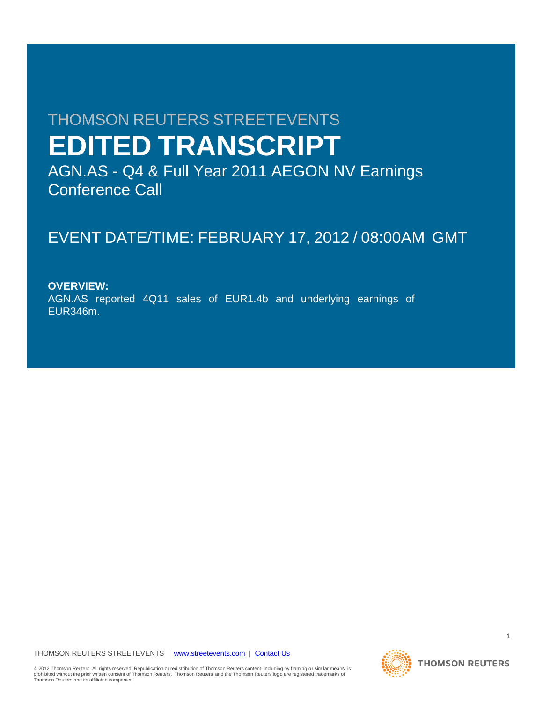# THOMSON REUTERS STREETEVENTS **EDITED TRANSCRIPT**

AGN.AS - Q4 & Full Year 2011 AEGON NV Earnings Conference Call

## EVENT DATE/TIME: FEBRUARY 17, 2012 / 08:00AM GMT

**OVERVIEW:** AGN.AS reported 4Q11 sales of EUR1.4b and underlying earnings of EUR346m.

### THOMSON REUTERS STREETEVENTS | www.streetevents.com | Contact Us

© 2012 Thomson Reuters. All rights reserved. Republication or redistribution of Thomson Reuters content, including by framing or similar means, is<br>prohibited without the prior written consent of Thomson Reuters. 'Thomson

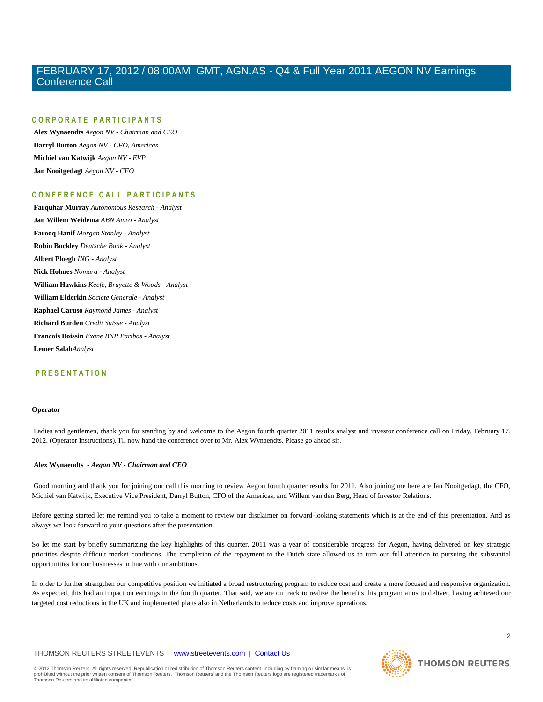### **C O R P O R A T E P A R T I C I P A N T S**

**Alex Wynaendts** *Aegon NV - Chairman and CEO* **Darryl Button** *Aegon NV - CFO, Americas* **Michiel van Katwijk** *Aegon NV - EVP* **Jan Nooitgedagt** *Aegon NV - CFO*

### **C O N F E R E N C E C A L L P A R T I C I P A N T S**

**Farquhar Murray** *Autonomous Research - Analyst* **Jan Willem Weidema** *ABN Amro - Analyst* **Farooq Hanif** *Morgan Stanley - Analyst* **Robin Buckley** *Deutsche Bank - Analyst* **Albert Ploegh** *ING - Analyst* **Nick Holmes** *Nomura - Analyst* **William Hawkins** *Keefe, Bruyette & Woods - Analyst* **William Elderkin** *Societe Generale - Analyst* **Raphael Caruso** *Raymond James - Analyst* **Richard Burden** *Credit Suisse - Analyst* **Francois Boissin** *Exane BNP Paribas - Analyst* **Lemer Salah***Analyst*

### **P R E S E N T A T I O N**

### **Operator**

Ladies and gentlemen, thank you for standing by and welcome to the Aegon fourth quarter 2011 results analyst and investor conference call on Friday, February 17, 2012. (Operator Instructions). I'll now hand the conference over to Mr. Alex Wynaendts. Please go ahead sir.

### **Alex Wynaendts** *- Aegon NV - Chairman and CEO*

Good morning and thank you for joining our call this morning to review Aegon fourth quarter results for 2011. Also joining me here are Jan Nooitgedagt, the CFO, Michiel van Katwijk, Executive Vice President, Darryl Button, CFO of the Americas, and Willem van den Berg, Head of Investor Relations.

Before getting started let me remind you to take a moment to review our disclaimer on forward-looking statements which is at the end of this presentation. And as always we look forward to your questions after the presentation.

So let me start by briefly summarizing the key highlights of this quarter. 2011 was a year of considerable progress for Aegon, having delivered on key strategic priorities despite difficult market conditions. The completion of the repayment to the Dutch state allowed us to turn our full attention to pursuing the substantial opportunities for our businesses in line with our ambitions.

In order to further strengthen our competitive position we initiated a broad restructuring program to reduce cost and create a more focused and responsive organization. As expected, this had an impact on earnings in the fourth quarter. That said, we are on track to realize the benefits this program aims to deliver, having achieved our targeted cost reductions in the UK and implemented plans also in Netherlands to reduce costs and improve operations.

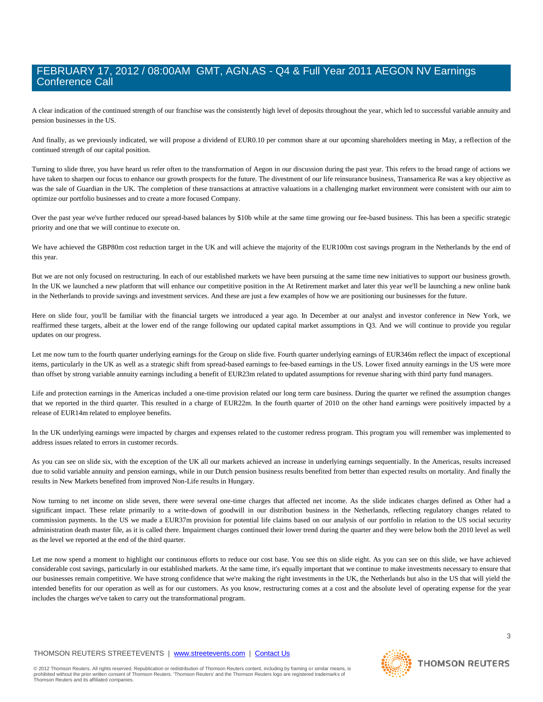A clear indication of the continued strength of our franchise was the consistently high level of deposits throughout the year, which led to successful variable annuity and pension businesses in the US.

And finally, as we previously indicated, we will propose a dividend of EUR0.10 per common share at our upcoming shareholders meeting in May, a reflection of the continued strength of our capital position.

Turning to slide three, you have heard us refer often to the transformation of Aegon in our discussion during the past year. This refers to the broad range of actions we have taken to sharpen our focus to enhance our growth prospects for the future. The divestment of our life reinsurance business, Transamerica Re was a key objective as was the sale of Guardian in the UK. The completion of these transactions at attractive valuations in a challenging market environment were consistent with our aim to optimize our portfolio businesses and to create a more focused Company.

Over the past year we've further reduced our spread-based balances by \$10b while at the same time growing our fee-based business. This has been a specific strategic priority and one that we will continue to execute on.

We have achieved the GBP80m cost reduction target in the UK and will achieve the majority of the EUR100m cost savings program in the Netherlands by the end of this year.

But we are not only focused on restructuring. In each of our established markets we have been pursuing at the same time new initiatives to support our business growth. In the UK we launched a new platform that will enhance our competitive position in the At Retirement market and later this year we'll be launching a new online bank in the Netherlands to provide savings and investment services. And these are just a few examples of how we are positioning our businesses for the future.

Here on slide four, you'll be familiar with the financial targets we introduced a year ago. In December at our analyst and investor conference in New York, we reaffirmed these targets, albeit at the lower end of the range following our updated capital market assumptions in Q3. And we will continue to provide you regular updates on our progress.

Let me now turn to the fourth quarter underlying earnings for the Group on slide five. Fourth quarter underlying earnings of EUR346m reflect the impact of exceptional items, particularly in the UK as well as a strategic shift from spread-based earnings to fee-based earnings in the US. Lower fixed annuity earnings in the US were more than offset by strong variable annuity earnings including a benefit of EUR23m related to updated assumptions for revenue sharing with third party fund managers.

Life and protection earnings in the Americas included a one-time provision related our long term care business. During the quarter we refined the assumption changes that we reported in the third quarter. This resulted in a charge of EUR22m. In the fourth quarter of 2010 on the other hand earnings were positively impacted by a release of EUR14m related to employee benefits.

In the UK underlying earnings were impacted by charges and expenses related to the customer redress program. This program you will remember was implemented to address issues related to errors in customer records.

As you can see on slide six, with the exception of the UK all our markets achieved an increase in underlying earnings sequentially. In the Americas, results increased due to solid variable annuity and pension earnings, while in our Dutch pension business results benefited from better than expected results on mortality. And finally the results in New Markets benefited from improved Non-Life results in Hungary.

Now turning to net income on slide seven, there were several one-time charges that affected net income. As the slide indicates charges defined as Other had a significant impact. These relate primarily to a write-down of goodwill in our distribution business in the Netherlands, reflecting regulatory changes related to commission payments. In the US we made a EUR37m provision for potential life claims based on our analysis of our portfolio in relation to the US social security administration death master file, as it is called there. Impairment charges continued their lower trend during the quarter and they were below both the 2010 level as well as the level we reported at the end of the third quarter.

Let me now spend a moment to highlight our continuous efforts to reduce our cost base. You see this on slide eight. As you can see on this slide, we have achieved considerable cost savings, particularly in our established markets. At the same time, it's equally important that we continue to make investments necessary to ensure that our businesses remain competitive. We have strong confidence that we're making the right investments in the UK, the Netherlands but also in the US that will yield the intended benefits for our operation as well as for our customers. As you know, restructuring comes at a cost and the absolute level of operating expense for the year includes the charges we've taken to carry out the transformational program.

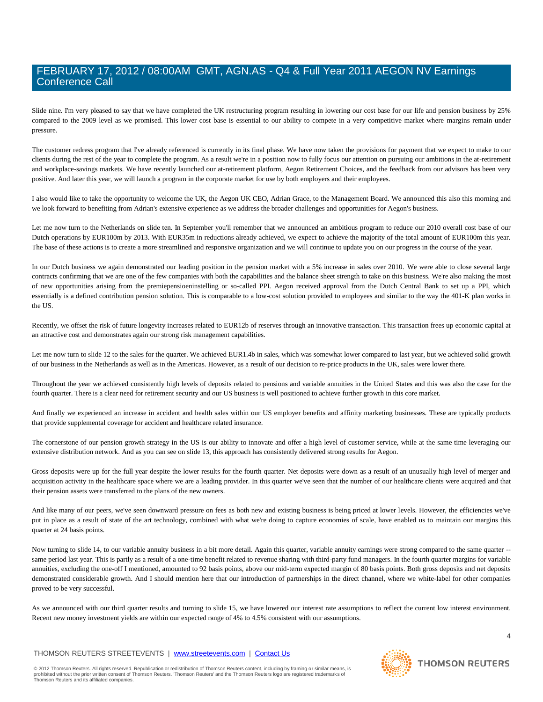Slide nine. I'm very pleased to say that we have completed the UK restructuring program resulting in lowering our cost base for our life and pension business by 25% compared to the 2009 level as we promised. This lower cost base is essential to our ability to compete in a very competitive market where margins remain under pressure.

The customer redress program that I've already referenced is currently in its final phase. We have now taken the provisions for payment that we expect to make to our clients during the rest of the year to complete the program. As a result we're in a position now to fully focus our attention on pursuing our ambitions in the at-retirement and workplace-savings markets. We have recently launched our at-retirement platform, Aegon Retirement Choices, and the feedback from our advisors has been very positive. And later this year, we will launch a program in the corporate market for use by both employers and their employees.

I also would like to take the opportunity to welcome the UK, the Aegon UK CEO, Adrian Grace, to the Management Board. We announced this also this morning and we look forward to benefiting from Adrian's extensive experience as we address the broader challenges and opportunities for Aegon's business.

Let me now turn to the Netherlands on slide ten. In September you'll remember that we announced an ambitious program to reduce our 2010 overall cost base of our Dutch operations by EUR100m by 2013. With EUR35m in reductions already achieved, we expect to achieve the majority of the total amount of EUR100m this year. The base of these actions is to create a more streamlined and responsive organization and we will continue to update you on our progress in the course of the year.

In our Dutch business we again demonstrated our leading position in the pension market with a 5% increase in sales over 2010. We were able to close several large contracts confirming that we are one of the few companies with both the capabilities and the balance sheet strength to take on this business. We're also making the most of new opportunities arising from the premiepensioeninstelling or so-called PPI. Aegon received approval from the Dutch Central Bank to set up a PPI, which essentially is a defined contribution pension solution. This is comparable to a low-cost solution provided to employees and similar to the way the 401-K plan works in the US.

Recently, we offset the risk of future longevity increases related to EUR12b of reserves through an innovative transaction. This transaction frees up economic capital at an attractive cost and demonstrates again our strong risk management capabilities.

Let me now turn to slide 12 to the sales for the quarter. We achieved EUR1.4b in sales, which was somewhat lower compared to last year, but we achieved solid growth of our business in the Netherlands as well as in the Americas. However, as a result of our decision to re-price products in the UK, sales were lower there.

Throughout the year we achieved consistently high levels of deposits related to pensions and variable annuities in the United States and this was also the case for the fourth quarter. There is a clear need for retirement security and our US business is well positioned to achieve further growth in this core market.

And finally we experienced an increase in accident and health sales within our US employer benefits and affinity marketing businesses. These are typically products that provide supplemental coverage for accident and healthcare related insurance.

The cornerstone of our pension growth strategy in the US is our ability to innovate and offer a high level of customer service, while at the same time leveraging our extensive distribution network. And as you can see on slide 13, this approach has consistently delivered strong results for Aegon.

Gross deposits were up for the full year despite the lower results for the fourth quarter. Net deposits were down as a result of an unusually high level of merger and acquisition activity in the healthcare space where we are a leading provider. In this quarter we've seen that the number of our healthcare clients were acquired and that their pension assets were transferred to the plans of the new owners.

And like many of our peers, we've seen downward pressure on fees as both new and existing business is being priced at lower levels. However, the efficiencies we've put in place as a result of state of the art technology, combined with what we're doing to capture economies of scale, have enabled us to maintain our margins this quarter at 24 basis points.

Now turning to slide 14, to our variable annuity business in a bit more detail. Again this quarter, variable annuity earnings were strong compared to the same quarter -same period last year. This is partly as a result of a one-time benefit related to revenue sharing with third-party fund managers. In the fourth quarter margins for variable annuities, excluding the one-off I mentioned, amounted to 92 basis points, above our mid-term expected margin of 80 basis points. Both gross deposits and net deposits demonstrated considerable growth. And I should mention here that our introduction of partnerships in the direct channel, where we white-label for other companies proved to be very successful.

As we announced with our third quarter results and turning to slide 15, we have lowered our interest rate assumptions to reflect the current low interest environment. Recent new money investment yields are within our expected range of 4% to 4.5% consistent with our assumptions.

### THOMSON REUTERS STREETEVENTS | www.streetevents.com | Contact Us

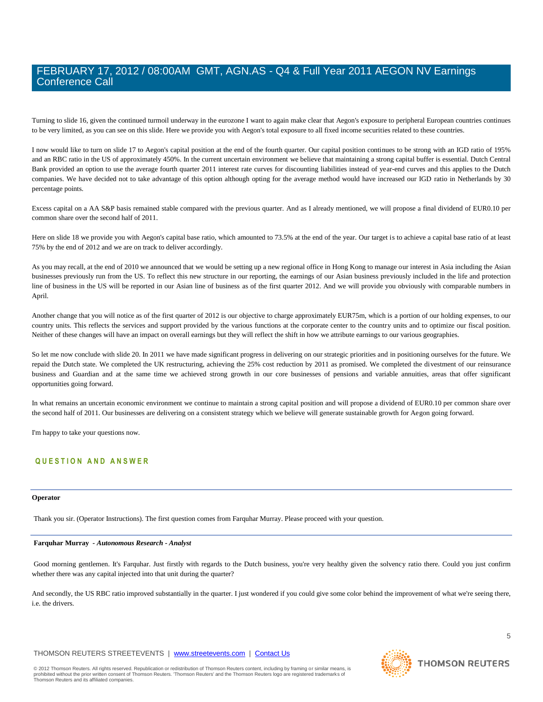Turning to slide 16, given the continued turmoil underway in the eurozone I want to again make clear that Aegon's exposure to peripheral European countries continues to be very limited, as you can see on this slide. Here we provide you with Aegon's total exposure to all fixed income securities related to these countries.

I now would like to turn on slide 17 to Aegon's capital position at the end of the fourth quarter. Our capital position continues to be strong with an IGD ratio of 195% and an RBC ratio in the US of approximately 450%. In the current uncertain environment we believe that maintaining a strong capital buffer is essential. Dutch Central Bank provided an option to use the average fourth quarter 2011 interest rate curves for discounting liabilities instead of year-end curves and this applies to the Dutch companies. We have decided not to take advantage of this option although opting for the average method would have increased our IGD ratio in Netherlands by 30 percentage points.

Excess capital on a AA S&P basis remained stable compared with the previous quarter. And as I already mentioned, we will propose a final dividend of EUR0.10 per common share over the second half of 2011.

Here on slide 18 we provide you with Aegon's capital base ratio, which amounted to 73.5% at the end of the year. Our target is to achieve a capital base ratio of at least 75% by the end of 2012 and we are on track to deliver accordingly.

As you may recall, at the end of 2010 we announced that we would be setting up a new regional office in Hong Kong to manage our interest in Asia including the Asian businesses previously run from the US. To reflect this new structure in our reporting, the earnings of our Asian business previously included in the life and protection line of business in the US will be reported in our Asian line of business as of the first quarter 2012. And we will provide you obviously with comparable numbers in April.

Another change that you will notice as of the first quarter of 2012 is our objective to charge approximately EUR75m, which is a portion of our holding expenses, to our country units. This reflects the services and support provided by the various functions at the corporate center to the country units and to optimize our fiscal position. Neither of these changes will have an impact on overall earnings but they will reflect the shift in how we attribute earnings to our various geographies.

So let me now conclude with slide 20. In 2011 we have made significant progress in delivering on our strategic priorities and in positioning ourselves for the future. We repaid the Dutch state. We completed the UK restructuring, achieving the 25% cost reduction by 2011 as promised. We completed the divestment of our reinsurance business and Guardian and at the same time we achieved strong growth in our core businesses of pensions and variable annuities, areas that offer significant opportunities going forward.

In what remains an uncertain economic environment we continue to maintain a strong capital position and will propose a dividend of EUR0.10 per common share over the second half of 2011. Our businesses are delivering on a consistent strategy which we believe will generate sustainable growth for Aegon going forward.

I'm happy to take your questions now.

### **Q U E S T I O N A N D A N S W E R**

### **Operator**

Thank you sir. (Operator Instructions). The first question comes from Farquhar Murray. Please proceed with your question.

### **Farquhar Murray** *- Autonomous Research - Analyst*

Good morning gentlemen. It's Farquhar. Just firstly with regards to the Dutch business, you're very healthy given the solvency ratio there. Could you just confirm whether there was any capital injected into that unit during the quarter?

And secondly, the US RBC ratio improved substantially in the quarter. I just wondered if you could give some color behind the improvement of what we're seeing there, i.e. the drivers.

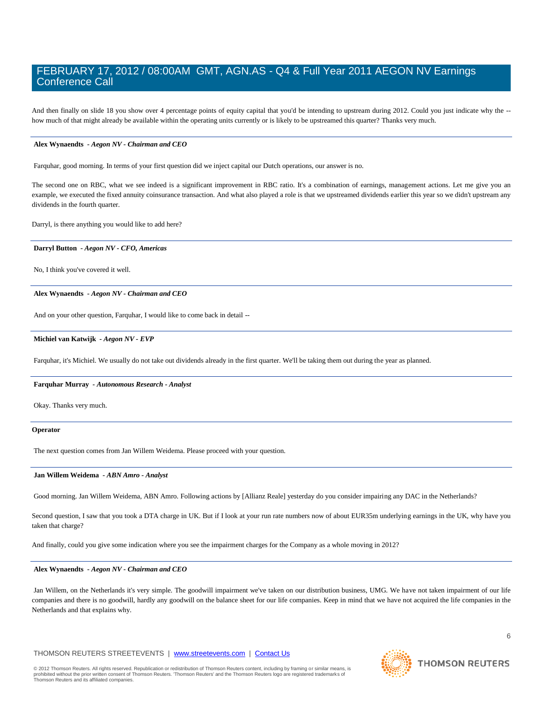And then finally on slide 18 you show over 4 percentage points of equity capital that you'd be intending to upstream during 2012. Could you just indicate why the -how much of that might already be available within the operating units currently or is likely to be upstreamed this quarter? Thanks very much.

### **Alex Wynaendts** *- Aegon NV - Chairman and CEO*

Farquhar, good morning. In terms of your first question did we inject capital our Dutch operations, our answer is no.

The second one on RBC, what we see indeed is a significant improvement in RBC ratio. It's a combination of earnings, management actions. Let me give you an example, we executed the fixed annuity coinsurance transaction. And what also played a role is that we upstreamed dividends earlier this year so we didn't upstream any dividends in the fourth quarter.

Darryl, is there anything you would like to add here?

### **Darryl Button** *- Aegon NV - CFO, Americas*

No, I think you've covered it well.

### **Alex Wynaendts** *- Aegon NV - Chairman and CEO*

And on your other question, Farquhar, I would like to come back in detail --

### **Michiel van Katwijk** *- Aegon NV - EVP*

Farquhar, it's Michiel. We usually do not take out dividends already in the first quarter. We'll be taking them out during the year as planned.

### **Farquhar Murray** *- Autonomous Research - Analyst*

Okay. Thanks very much.

#### **Operator**

The next question comes from Jan Willem Weidema. Please proceed with your question.

### **Jan Willem Weidema** *- ABN Amro - Analyst*

Good morning. Jan Willem Weidema, ABN Amro. Following actions by [Allianz Reale] yesterday do you consider impairing any DAC in the Netherlands?

Second question, I saw that you took a DTA charge in UK. But if I look at your run rate numbers now of about EUR35m underlying earnings in the UK, why have you taken that charge?

And finally, could you give some indication where you see the impairment charges for the Company as a whole moving in 2012?

### **Alex Wynaendts** *- Aegon NV - Chairman and CEO*

Jan Willem, on the Netherlands it's very simple. The goodwill impairment we've taken on our distribution business, UMG. We have not taken impairment of our life companies and there is no goodwill, hardly any goodwill on the balance sheet for our life companies. Keep in mind that we have not acquired the life companies in the Netherlands and that explains why.

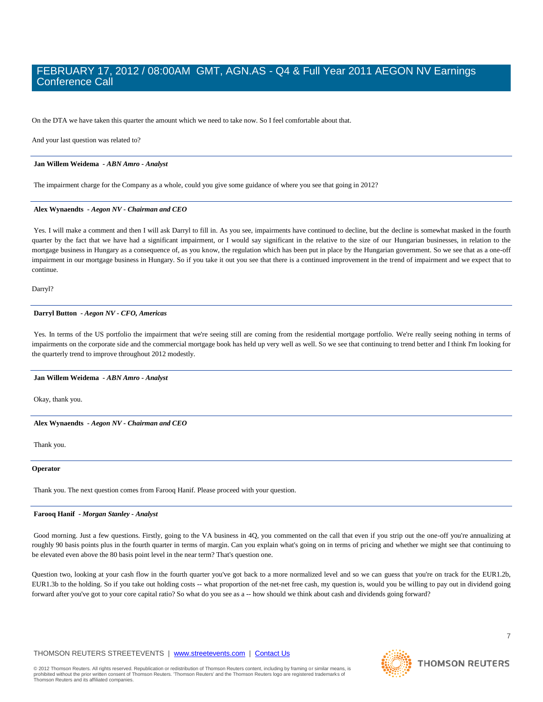On the DTA we have taken this quarter the amount which we need to take now. So I feel comfortable about that.

And your last question was related to?

### **Jan Willem Weidema** *- ABN Amro - Analyst*

The impairment charge for the Company as a whole, could you give some guidance of where you see that going in 2012?

### **Alex Wynaendts** *- Aegon NV - Chairman and CEO*

Yes. I will make a comment and then I will ask Darryl to fill in. As you see, impairments have continued to decline, but the decline is somewhat masked in the fourth quarter by the fact that we have had a significant impairment, or I would say significant in the relative to the size of our Hungarian businesses, in relation to the mortgage business in Hungary as a consequence of, as you know, the regulation which has been put in place by the Hungarian government. So we see that as a one-off impairment in our mortgage business in Hungary. So if you take it out you see that there is a continued improvement in the trend of impairment and we expect that to continue.

Darryl?

### **Darryl Button** *- Aegon NV - CFO, Americas*

Yes. In terms of the US portfolio the impairment that we're seeing still are coming from the residential mortgage portfolio. We're really seeing nothing in terms of impairments on the corporate side and the commercial mortgage book has held up very well as well. So we see that continuing to trend better and I think I'm looking for the quarterly trend to improve throughout 2012 modestly.

### **Jan Willem Weidema** *- ABN Amro - Analyst*

Okay, thank you.

**Alex Wynaendts** *- Aegon NV - Chairman and CEO* 

Thank you.

### **Operator**

Thank you. The next question comes from Farooq Hanif. Please proceed with your question.

#### **Farooq Hanif** *- Morgan Stanley - Analyst*

Good morning. Just a few questions. Firstly, going to the VA business in 4Q, you commented on the call that even if you strip out the one-off you're annualizing at roughly 90 basis points plus in the fourth quarter in terms of margin. Can you explain what's going on in terms of pricing and whether we might see that continuing to be elevated even above the 80 basis point level in the near term? That's question one.

Question two, looking at your cash flow in the fourth quarter you've got back to a more normalized level and so we can guess that you're on track for the EUR1.2b, EUR1.3b to the holding. So if you take out holding costs -- what proportion of the net-net free cash, my question is, would you be willing to pay out in dividend going forward after you've got to your core capital ratio? So what do you see as a -- how should we think about cash and dividends going forward?

### THOMSON REUTERS STREETEVENTS | www.streetevents.com | Contact Us

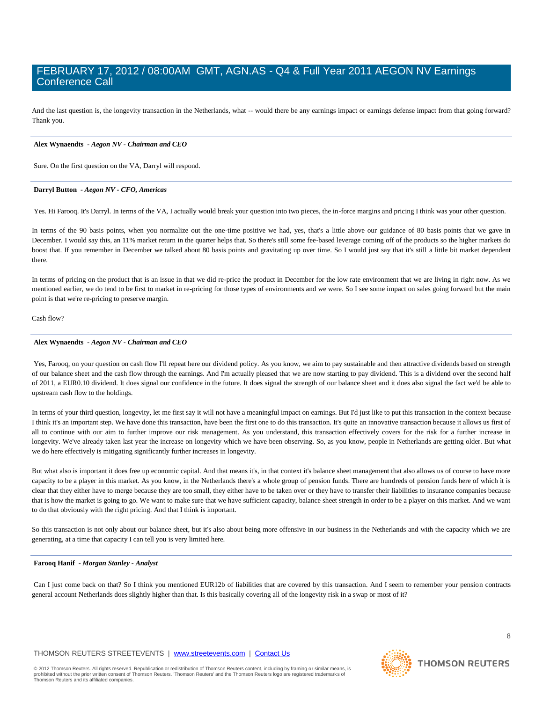And the last question is, the longevity transaction in the Netherlands, what -- would there be any earnings impact or earnings defense impact from that going forward? Thank you.

### **Alex Wynaendts** *- Aegon NV - Chairman and CEO*

Sure. On the first question on the VA, Darryl will respond.

### **Darryl Button** *- Aegon NV - CFO, Americas*

Yes. Hi Farooq. It's Darryl. In terms of the VA, I actually would break your question into two pieces, the in-force margins and pricing I think was your other question.

In terms of the 90 basis points, when you normalize out the one-time positive we had, yes, that's a little above our guidance of 80 basis points that we gave in December. I would say this, an 11% market return in the quarter helps that. So there's still some fee-based leverage coming off of the products so the higher markets do boost that. If you remember in December we talked about 80 basis points and gravitating up over time. So I would just say that it's still a little bit market dependent there.

In terms of pricing on the product that is an issue in that we did re-price the product in December for the low rate environment that we are living in right now. As we mentioned earlier, we do tend to be first to market in re-pricing for those types of environments and we were. So I see some impact on sales going forward but the main point is that we're re-pricing to preserve margin.

Cash flow?

### **Alex Wynaendts** *- Aegon NV - Chairman and CEO*

Yes, Farooq, on your question on cash flow I'll repeat here our dividend policy. As you know, we aim to pay sustainable and then attractive dividends based on strength of our balance sheet and the cash flow through the earnings. And I'm actually pleased that we are now starting to pay dividend. This is a dividend over the second half of 2011, a EUR0.10 dividend. It does signal our confidence in the future. It does signal the strength of our balance sheet and it does also signal the fact we'd be able to upstream cash flow to the holdings.

In terms of your third question, longevity, let me first say it will not have a meaningful impact on earnings. But I'd just like to put this transaction in the context because I think it's an important step. We have done this transaction, have been the first one to do this transaction. It's quite an innovative transaction because it allows us first of all to continue with our aim to further improve our risk management. As you understand, this transaction effectively covers for the risk for a further increase in longevity. We've already taken last year the increase on longevity which we have been observing. So, as you know, people in Netherlands are getting older. But what we do here effectively is mitigating significantly further increases in longevity.

But what also is important it does free up economic capital. And that means it's, in that context it's balance sheet management that also allows us of course to have more capacity to be a player in this market. As you know, in the Netherlands there's a whole group of pension funds. There are hundreds of pension funds here of which it is clear that they either have to merge because they are too small, they either have to be taken over or they have to transfer their liabilities to insurance companies because that is how the market is going to go. We want to make sure that we have sufficient capacity, balance sheet strength in order to be a player on this market. And we want to do that obviously with the right pricing. And that I think is important.

So this transaction is not only about our balance sheet, but it's also about being more offensive in our business in the Netherlands and with the capacity which we are generating, at a time that capacity I can tell you is very limited here.

### **Farooq Hanif** *- Morgan Stanley - Analyst*

Can I just come back on that? So I think you mentioned EUR12b of liabilities that are covered by this transaction. And I seem to remember your pension contracts general account Netherlands does slightly higher than that. Is this basically covering all of the longevity risk in a swap or most of it?

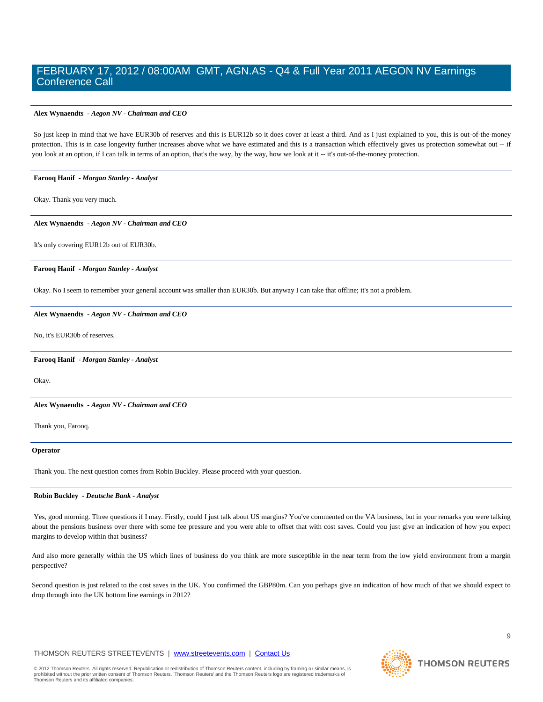### **Alex Wynaendts** *- Aegon NV - Chairman and CEO*

So just keep in mind that we have EUR30b of reserves and this is EUR12b so it does cover at least a third. And as I just explained to you, this is out-of-the-money protection. This is in case longevity further increases above what we have estimated and this is a transaction which effectively gives us protection somewhat out -- if you look at an option, if I can talk in terms of an option, that's the way, by the way, how we look at it -- it's out-of-the-money protection.

### **Farooq Hanif** *- Morgan Stanley - Analyst*

Okay. Thank you very much.

### **Alex Wynaendts** *- Aegon NV - Chairman and CEO*

It's only covering EUR12b out of EUR30b.

### **Farooq Hanif** *- Morgan Stanley - Analyst*

Okay. No I seem to remember your general account was smaller than EUR30b. But anyway I can take that offline; it's not a problem.

### **Alex Wynaendts** *- Aegon NV - Chairman and CEO*

No, it's EUR30b of reserves.

### **Farooq Hanif** *- Morgan Stanley - Analyst*

Okay.

**Alex Wynaendts** *- Aegon NV - Chairman and CEO* 

Thank you, Farooq.

#### **Operator**

Thank you. The next question comes from Robin Buckley. Please proceed with your question.

### **Robin Buckley** *- Deutsche Bank - Analyst*

Yes, good morning. Three questions if I may. Firstly, could I just talk about US margins? You've commented on the VA business, but in your remarks you were talking about the pensions business over there with some fee pressure and you were able to offset that with cost saves. Could you just give an indication of how you expect margins to develop within that business?

And also more generally within the US which lines of business do you think are more susceptible in the near term from the low yield environment from a margin perspective?

Second question is just related to the cost saves in the UK. You confirmed the GBP80m. Can you perhaps give an indication of how much of that we should expect to drop through into the UK bottom line earnings in 2012?

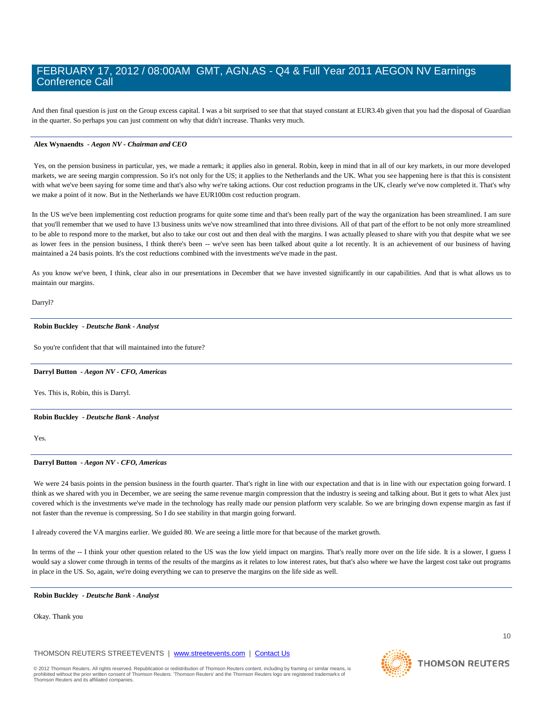And then final question is just on the Group excess capital. I was a bit surprised to see that that stayed constant at EUR3.4b given that you had the disposal of Guardian in the quarter. So perhaps you can just comment on why that didn't increase. Thanks very much.

### **Alex Wynaendts** *- Aegon NV - Chairman and CEO*

Yes, on the pension business in particular, yes, we made a remark; it applies also in general. Robin, keep in mind that in all of our key markets, in our more developed markets, we are seeing margin compression. So it's not only for the US; it applies to the Netherlands and the UK. What you see happening here is that this is consistent with what we've been saying for some time and that's also why we're taking actions. Our cost reduction programs in the UK, clearly we've now completed it. That's why we make a point of it now. But in the Netherlands we have EUR100m cost reduction program.

In the US we've been implementing cost reduction programs for quite some time and that's been really part of the way the organization has been streamlined. I am sure that you'll remember that we used to have 13 business units we've now streamlined that into three divisions. All of that part of the effort to be not only more streamlined to be able to respond more to the market, but also to take our cost out and then deal with the margins. I was actually pleased to share with you that despite what we see as lower fees in the pension business, I think there's been -- we've seen has been talked about quite a lot recently. It is an achievement of our business of having maintained a 24 basis points. It's the cost reductions combined with the investments we've made in the past.

As you know we've been, I think, clear also in our presentations in December that we have invested significantly in our capabilities. And that is what allows us to maintain our margins.

Darryl?

### **Robin Buckley** *- Deutsche Bank - Analyst*

So you're confident that that will maintained into the future?

### **Darryl Button** *- Aegon NV - CFO, Americas*

Yes. This is, Robin, this is Darryl.

### **Robin Buckley** *- Deutsche Bank - Analyst*

Yes.

### **Darryl Button** *- Aegon NV - CFO, Americas*

We were 24 basis points in the pension business in the fourth quarter. That's right in line with our expectation and that is in line with our expectation going forward. I think as we shared with you in December, we are seeing the same revenue margin compression that the industry is seeing and talking about. But it gets to what Alex just covered which is the investments we've made in the technology has really made our pension platform very scalable. So we are bringing down expense margin as fast if not faster than the revenue is compressing. So I do see stability in that margin going forward.

I already covered the VA margins earlier. We guided 80. We are seeing a little more for that because of the market growth.

In terms of the -- I think your other question related to the US was the low yield impact on margins. That's really more over on the life side. It is a slower, I guess I would say a slower come through in terms of the results of the margins as it relates to low interest rates, but that's also where we have the largest cost take out programs in place in the US. So, again, we're doing everything we can to preserve the margins on the life side as well.

### **Robin Buckley** *- Deutsche Bank - Analyst*

Okay. Thank you

THOMSON REUTERS STREETEVENTS | www.streetevents.com | Contact Us

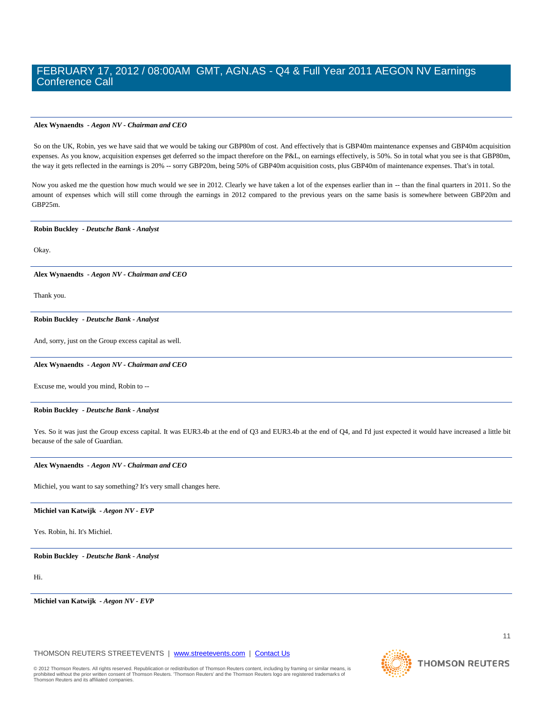### **Alex Wynaendts** *- Aegon NV - Chairman and CEO*

So on the UK, Robin, yes we have said that we would be taking our GBP80m of cost. And effectively that is GBP40m maintenance expenses and GBP40m acquisition expenses. As you know, acquisition expenses get deferred so the impact therefore on the P&L, on earnings effectively, is 50%. So in total what you see is that GBP80m, the way it gets reflected in the earnings is 20% -- sorry GBP20m, being 50% of GBP40m acquisition costs, plus GBP40m of maintenance expenses. That's in total.

Now you asked me the question how much would we see in 2012. Clearly we have taken a lot of the expenses earlier than in -- than the final quarters in 2011. So the amount of expenses which will still come through the earnings in 2012 compared to the previous years on the same basis is somewhere between GBP20m and GBP25m.

### **Robin Buckley** *- Deutsche Bank - Analyst*

Okay.

**Alex Wynaendts** *- Aegon NV - Chairman and CEO* 

Thank you.

#### **Robin Buckley** *- Deutsche Bank - Analyst*

And, sorry, just on the Group excess capital as well.

### **Alex Wynaendts** *- Aegon NV - Chairman and CEO*

Excuse me, would you mind, Robin to --

### **Robin Buckley** *- Deutsche Bank - Analyst*

Yes. So it was just the Group excess capital. It was EUR3.4b at the end of Q3 and EUR3.4b at the end of Q4, and I'd just expected it would have increased a little bit because of the sale of Guardian.

#### **Alex Wynaendts** *- Aegon NV - Chairman and CEO*

Michiel, you want to say something? It's very small changes here.

### **Michiel van Katwijk** *- Aegon NV - EVP*

Yes. Robin, hi. It's Michiel.

### **Robin Buckley** *- Deutsche Bank - Analyst*

Hi.

**Michiel van Katwijk** *- Aegon NV - EVP* 

THOMSON REUTERS STREETEVENTS | www.streetevents.com | Contact Us

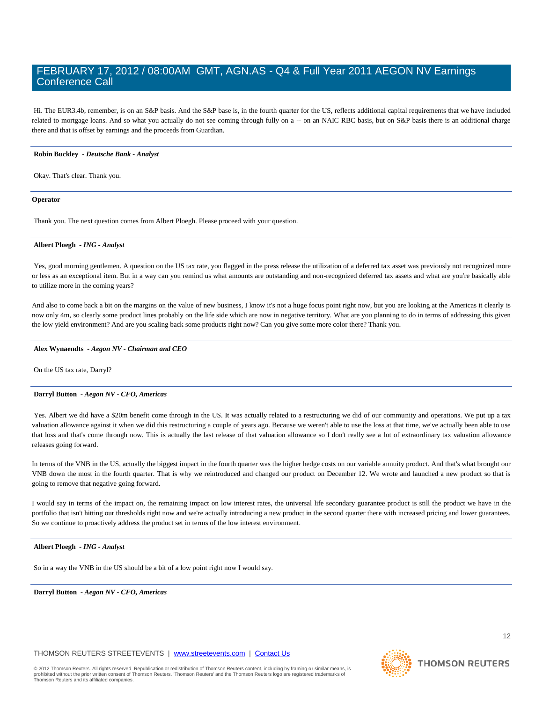Hi. The EUR3.4b, remember, is on an S&P basis. And the S&P base is, in the fourth quarter for the US, reflects additional capital requirements that we have included related to mortgage loans. And so what you actually do not see coming through fully on a -- on an NAIC RBC basis, but on S&P basis there is an additional charge there and that is offset by earnings and the proceeds from Guardian.

### **Robin Buckley** *- Deutsche Bank - Analyst*

Okay. That's clear. Thank you.

### **Operator**

Thank you. The next question comes from Albert Ploegh. Please proceed with your question.

### **Albert Ploegh** *- ING - Analyst*

Yes, good morning gentlemen. A question on the US tax rate, you flagged in the press release the utilization of a deferred tax asset was previously not recognized more or less as an exceptional item. But in a way can you remind us what amounts are outstanding and non-recognized deferred tax assets and what are you're basically able to utilize more in the coming years?

And also to come back a bit on the margins on the value of new business, I know it's not a huge focus point right now, but you are looking at the Americas it clearly is now only 4m, so clearly some product lines probably on the life side which are now in negative territory. What are you planning to do in terms of addressing this given the low yield environment? And are you scaling back some products right now? Can you give some more color there? Thank you.

### **Alex Wynaendts** *- Aegon NV - Chairman and CEO*

On the US tax rate, Darryl?

### **Darryl Button** *- Aegon NV - CFO, Americas*

Yes. Albert we did have a \$20m benefit come through in the US. It was actually related to a restructuring we did of our community and operations. We put up a tax valuation allowance against it when we did this restructuring a couple of years ago. Because we weren't able to use the loss at that time, we've actually been able to use that loss and that's come through now. This is actually the last release of that valuation allowance so I don't really see a lot of extraordinary tax valuation allowance releases going forward.

In terms of the VNB in the US, actually the biggest impact in the fourth quarter was the higher hedge costs on our variable annuity product. And that's what brought our VNB down the most in the fourth quarter. That is why we reintroduced and changed our product on December 12. We wrote and launched a new product so that is going to remove that negative going forward.

I would say in terms of the impact on, the remaining impact on low interest rates, the universal life secondary guarantee product is still the product we have in the portfolio that isn't hitting our thresholds right now and we're actually introducing a new product in the second quarter there with increased pricing and lower guarantees. So we continue to proactively address the product set in terms of the low interest environment.

### **Albert Ploegh** *- ING - Analyst*

So in a way the VNB in the US should be a bit of a low point right now I would say.

**Darryl Button** *- Aegon NV - CFO, Americas* 

THOMSON REUTERS STREETEVENTS | www.streetevents.com | Contact Us

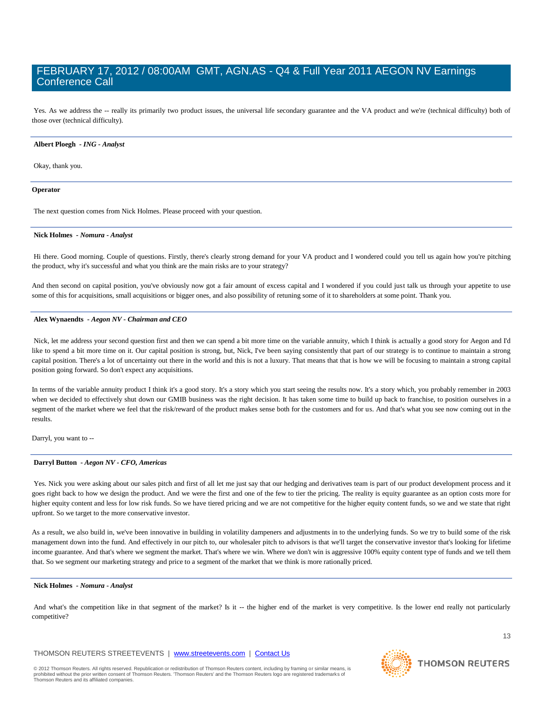Yes. As we address the -- really its primarily two product issues, the universal life secondary guarantee and the VA product and we're (technical difficulty) both of those over (technical difficulty).

### **Albert Ploegh** *- ING - Analyst*

Okay, thank you.

### **Operator**

The next question comes from Nick Holmes. Please proceed with your question.

### **Nick Holmes** *- Nomura - Analyst*

Hi there. Good morning. Couple of questions. Firstly, there's clearly strong demand for your VA product and I wondered could you tell us again how you're pitching the product, why it's successful and what you think are the main risks are to your strategy?

And then second on capital position, you've obviously now got a fair amount of excess capital and I wondered if you could just talk us through your appetite to use some of this for acquisitions, small acquisitions or bigger ones, and also possibility of retuning some of it to shareholders at some point. Thank you.

### **Alex Wynaendts** *- Aegon NV - Chairman and CEO*

Nick, let me address your second question first and then we can spend a bit more time on the variable annuity, which I think is actually a good story for Aegon and I'd like to spend a bit more time on it. Our capital position is strong, but, Nick, I've been saying consistently that part of our strategy is to continue to maintain a strong capital position. There's a lot of uncertainty out there in the world and this is not a luxury. That means that that is how we will be focusing to maintain a strong capital position going forward. So don't expect any acquisitions.

In terms of the variable annuity product I think it's a good story. It's a story which you start seeing the results now. It's a story which, you probably remember in 2003 when we decided to effectively shut down our GMIB business was the right decision. It has taken some time to build up back to franchise, to position ourselves in a segment of the market where we feel that the risk/reward of the product makes sense both for the customers and for us. And that's what you see now coming out in the results.

Darryl, you want to --

### **Darryl Button** *- Aegon NV - CFO, Americas*

Yes. Nick you were asking about our sales pitch and first of all let me just say that our hedging and derivatives team is part of our product development process and it goes right back to how we design the product. And we were the first and one of the few to tier the pricing. The reality is equity guarantee as an option costs more for higher equity content and less for low risk funds. So we have tiered pricing and we are not competitive for the higher equity content funds, so we and we state that right upfront. So we target to the more conservative investor.

As a result, we also build in, we've been innovative in building in volatility dampeners and adjustments in to the underlying funds. So we try to build some of the risk management down into the fund. And effectively in our pitch to, our wholesaler pitch to advisors is that we'll target the conservative investor that's looking for lifetime income guarantee. And that's where we segment the market. That's where we win. Where we don't win is aggressive 100% equity content type of funds and we tell them that. So we segment our marketing strategy and price to a segment of the market that we think is more rationally priced.

#### **Nick Holmes** *- Nomura - Analyst*

And what's the competition like in that segment of the market? Is it -- the higher end of the market is very competitive. Is the lower end really not particularly competitive?

### THOMSON REUTERS STREETEVENTS | www.streetevents.com | Contact Us

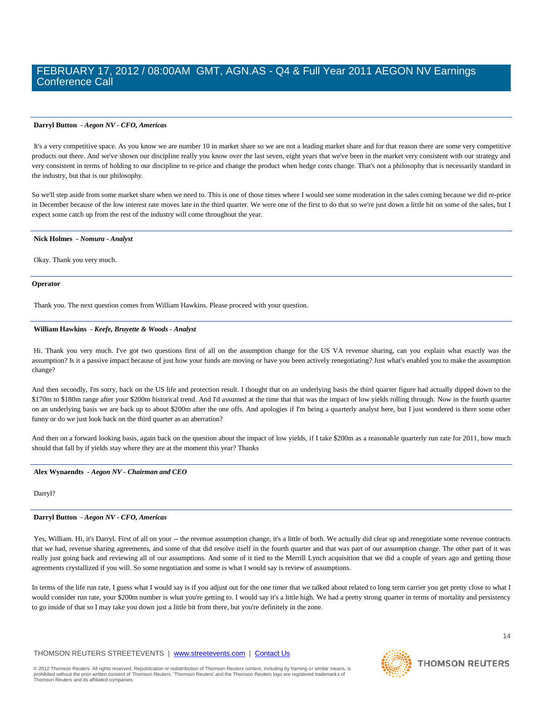### **Darryl Button** *- Aegon NV - CFO, Americas*

It's a very competitive space. As you know we are number 10 in market share so we are not a leading market share and for that reason there are some very competitive products out there. And we've shown our discipline really you know over the last seven, eight years that we've been in the market very consistent with our strategy and very consistent in terms of holding to our discipline to re-price and change the product when hedge costs change. That's not a philosophy that is necessarily standard in the industry, but that is our philosophy.

So we'll step aside from some market share when we need to. This is one of those times where I would see some moderation in the sales coming because we did re-price in December because of the low interest rate moves late in the third quarter. We were one of the first to do that so we're just down a little bit on some of the sales, but I expect some catch up from the rest of the industry will come throughout the year.

#### **Nick Holmes** *- Nomura - Analyst*

Okay. Thank you very much.

#### **Operator**

Thank you. The next question comes from William Hawkins. Please proceed with your question.

### **William Hawkins** *- Keefe, Bruyette & Woods - Analyst*

Hi. Thank you very much. I've got two questions first of all on the assumption change for the US VA revenue sharing, can you explain what exactly was the assumption? Is it a passive impact because of just how your funds are moving or have you been actively renegotiating? Just what's enabled you to make the assumption change?

And then secondly, I'm sorry, back on the US life and protection result. I thought that on an underlying basis the third quarter figure had actually dipped down to the \$170m to \$180m range after your \$200m historical trend. And I'd assumed at the time that that was the impact of low yields rolling through. Now in the fourth quarter on an underlying basis we are back up to about \$200m after the one offs. And apologies if I'm being a quarterly analyst here, but I just wondered is there some other funny or do we just look back on the third quarter as an aberration?

And then on a forward looking basis, again back on the question about the impact of low yields, if I take \$200m as a reasonable quarterly run rate for 2011, how much should that fall by if yields stay where they are at the moment this year? Thanks

### **Alex Wynaendts** *- Aegon NV - Chairman and CEO*

Darryl?

### **Darryl Button** *- Aegon NV - CFO, Americas*

Yes, William. Hi, it's Darryl. First of all on your -- the revenue assumption change, it's a little of both. We actually did clear up and renegotiate some revenue contracts that we had, revenue sharing agreements, and some of that did resolve itself in the fourth quarter and that was part of our assumption change. The other part of it was really just going back and reviewing all of our assumptions. And some of it tied to the Merrill Lynch acquisition that we did a couple of years ago and getting those agreements crystallized if you will. So some negotiation and some is what I would say is review of assumptions.

In terms of the life run rate, I guess what I would say is if you adjust out for the one timer that we talked about related to long term carrier you get pretty close to what I would consider run rate, your \$200m number is what you're getting to. I would say it's a little high. We had a pretty strong quarter in terms of mortality and persistency to go inside of that so I may take you down just a little bit from there, but you're definitely in the zone.

### THOMSON REUTERS STREETEVENTS | www.streetevents.com | Contact Us

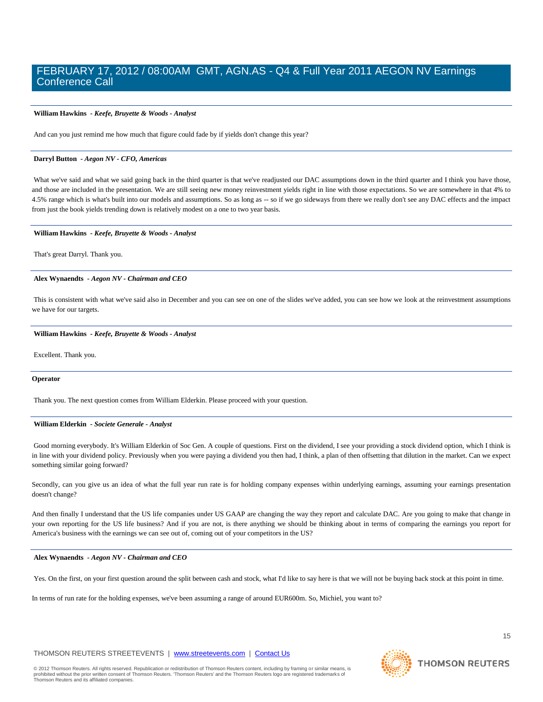### **William Hawkins** *- Keefe, Bruyette & Woods - Analyst*

And can you just remind me how much that figure could fade by if yields don't change this year?

### **Darryl Button** *- Aegon NV - CFO, Americas*

What we've said and what we said going back in the third quarter is that we've readjusted our DAC assumptions down in the third quarter and I think you have those, and those are included in the presentation. We are still seeing new money reinvestment yields right in line with those expectations. So we are somewhere in that 4% to 4.5% range which is what's built into our models and assumptions. So as long as -- so if we go sideways from there we really don't see any DAC effects and the impact from just the book yields trending down is relatively modest on a one to two year basis.

### **William Hawkins** *- Keefe, Bruyette & Woods - Analyst*

That's great Darryl. Thank you.

### **Alex Wynaendts** *- Aegon NV - Chairman and CEO*

This is consistent with what we've said also in December and you can see on one of the slides we've added, you can see how we look at the reinvestment assumptions we have for our targets.

### **William Hawkins** *- Keefe, Bruyette & Woods - Analyst*

Excellent. Thank you.

### **Operator**

Thank you. The next question comes from William Elderkin. Please proceed with your question.

### **William Elderkin** *- Societe Generale - Analyst*

Good morning everybody. It's William Elderkin of Soc Gen. A couple of questions. First on the dividend, I see your providing a stock dividend option, which I think is in line with your dividend policy. Previously when you were paying a dividend you then had, I think, a plan of then offsetting that dilution in the market. Can we expect something similar going forward?

Secondly, can you give us an idea of what the full year run rate is for holding company expenses within underlying earnings, assuming your earnings presentation doesn't change?

And then finally I understand that the US life companies under US GAAP are changing the way they report and calculate DAC. Are you going to make that change in your own reporting for the US life business? And if you are not, is there anything we should be thinking about in terms of comparing the earnings you report for America's business with the earnings we can see out of, coming out of your competitors in the US?

### **Alex Wynaendts** *- Aegon NV - Chairman and CEO*

Yes. On the first, on your first question around the split between cash and stock, what I'd like to say here is that we will not be buying back stock at this point in time.

In terms of run rate for the holding expenses, we've been assuming a range of around EUR600m. So, Michiel, you want to?

### THOMSON REUTERS STREETEVENTS | www.streetevents.com | Contact Us

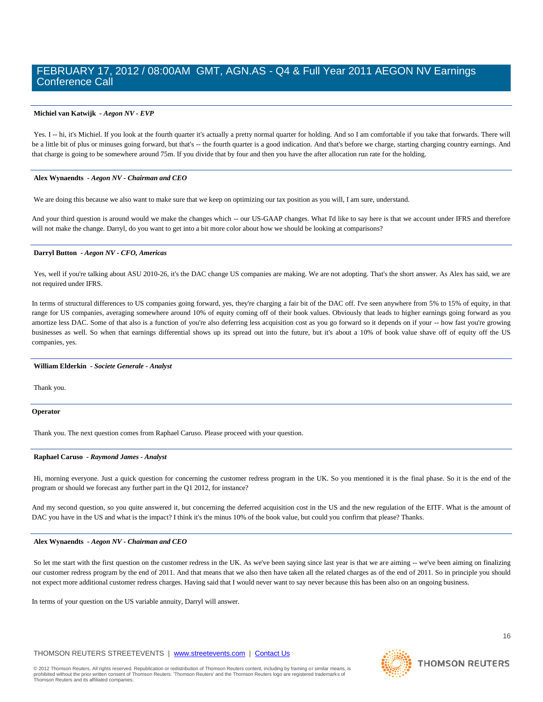### **Michiel van Katwijk** *- Aegon NV - EVP*

Yes. I -- hi, it's Michiel. If you look at the fourth quarter it's actually a pretty normal quarter for holding. And so I am comfortable if you take that forwards. There will be a little bit of plus or minuses going forward, but that's -- the fourth quarter is a good indication. And that's before we charge, starting charging country earnings. And that charge is going to be somewhere around 75m. If you divide that by four and then you have the after allocation run rate for the holding.

### **Alex Wynaendts** *- Aegon NV - Chairman and CEO*

We are doing this because we also want to make sure that we keep on optimizing our tax position as you will, I am sure, understand.

And your third question is around would we make the changes which -- our US-GAAP changes. What I'd like to say here is that we account under IFRS and therefore will not make the change. Darryl, do you want to get into a bit more color about how we should be looking at comparisons?

### **Darryl Button** *- Aegon NV - CFO, Americas*

Yes, well if you're talking about ASU 2010-26, it's the DAC change US companies are making. We are not adopting. That's the short answer. As Alex has said, we are not required under IFRS.

In terms of structural differences to US companies going forward, yes, they're charging a fair bit of the DAC off. I've seen anywhere from 5% to 15% of equity, in that range for US companies, averaging somewhere around 10% of equity coming off of their book values. Obviously that leads to higher earnings going forward as you amortize less DAC. Some of that also is a function of you're also deferring less acquisition cost as you go forward so it depends on if your -- how fast you're growing businesses as well. So when that earnings differential shows up its spread out into the future, but it's about a 10% of book value shave off of equity off the US companies, yes.

### **William Elderkin** *- Societe Generale - Analyst*

Thank you.

### **Operator**

Thank you. The next question comes from Raphael Caruso. Please proceed with your question.

### **Raphael Caruso** *- Raymond James - Analyst*

Hi, morning everyone. Just a quick question for concerning the customer redress program in the UK. So you mentioned it is the final phase. So it is the end of the program or should we forecast any further part in the Q1 2012, for instance?

And my second question, so you quite answered it, but concerning the deferred acquisition cost in the US and the new regulation of the EITF. What is the amount of DAC you have in the US and what is the impact? I think it's the minus 10% of the book value, but could you confirm that please? Thanks.

### **Alex Wynaendts** *- Aegon NV - Chairman and CEO*

So let me start with the first question on the customer redress in the UK. As we've been saying since last year is that we are aiming -- we've been aiming on finalizing our customer redress program by the end of 2011. And that means that we also then have taken all the related charges as of the end of 2011. So in principle you should not expect more additional customer redress charges. Having said that I would never want to say never because this has been also on an ongoing business.

In terms of your question on the US variable annuity, Darryl will answer.

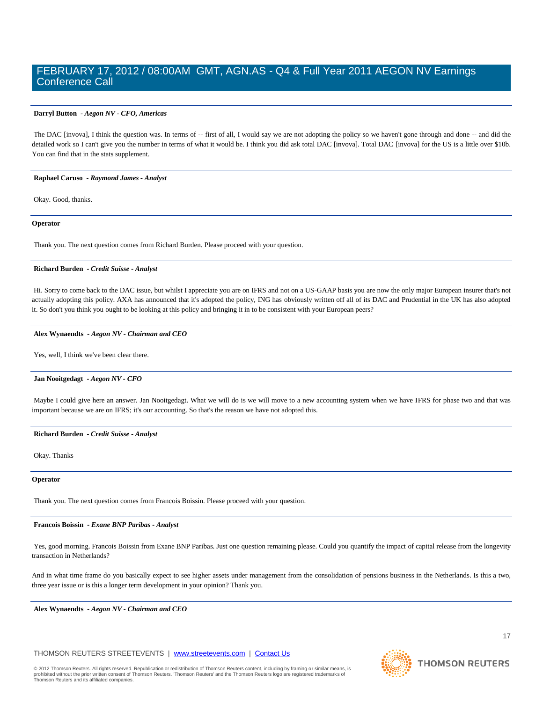### **Darryl Button** *- Aegon NV - CFO, Americas*

The DAC [invova], I think the question was. In terms of -- first of all, I would say we are not adopting the policy so we haven't gone through and done -- and did the detailed work so I can't give you the number in terms of what it would be. I think you did ask total DAC [invova]. Total DAC [invova] for the US is a little over \$10b. You can find that in the stats supplement.

### **Raphael Caruso** *- Raymond James - Analyst*

Okay. Good, thanks.

### **Operator**

Thank you. The next question comes from Richard Burden. Please proceed with your question.

### **Richard Burden** *- Credit Suisse - Analyst*

Hi. Sorry to come back to the DAC issue, but whilst I appreciate you are on IFRS and not on a US-GAAP basis you are now the only major European insurer that's not actually adopting this policy. AXA has announced that it's adopted the policy, ING has obviously written off all of its DAC and Prudential in the UK has also adopted it. So don't you think you ought to be looking at this policy and bringing it in to be consistent with your European peers?

### **Alex Wynaendts** *- Aegon NV - Chairman and CEO*

Yes, well, I think we've been clear there.

### **Jan Nooitgedagt** *- Aegon NV - CFO*

Maybe I could give here an answer. Jan Nooitgedagt. What we will do is we will move to a new accounting system when we have IFRS for phase two and that was important because we are on IFRS; it's our accounting. So that's the reason we have not adopted this.

### **Richard Burden** *- Credit Suisse - Analyst*

Okay. Thanks

### **Operator**

Thank you. The next question comes from Francois Boissin. Please proceed with your question.

### **Francois Boissin** *- Exane BNP Paribas - Analyst*

Yes, good morning. Francois Boissin from Exane BNP Paribas. Just one question remaining please. Could you quantify the impact of capital release from the longevity transaction in Netherlands?

And in what time frame do you basically expect to see higher assets under management from the consolidation of pensions business in the Netherlands. Is this a two, three year issue or is this a longer term development in your opinion? Thank you.

**Alex Wynaendts** *- Aegon NV - Chairman and CEO* 

### THOMSON REUTERS STREETEVENTS | www.streetevents.com | Contact Us

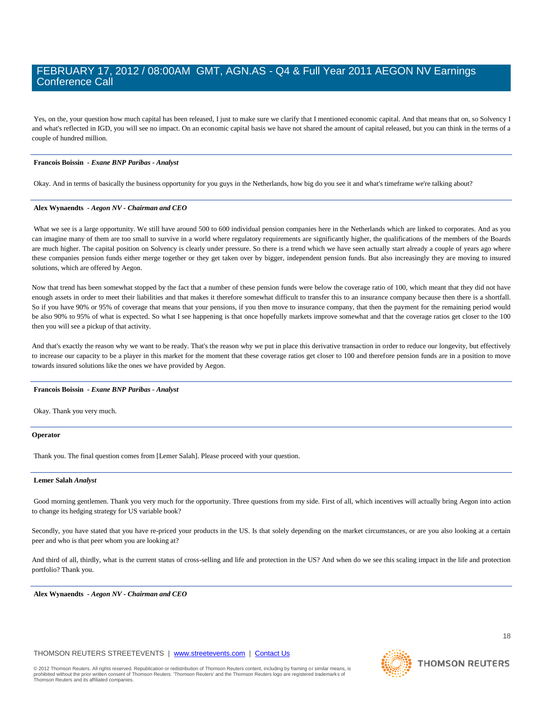Yes, on the, your question how much capital has been released, I just to make sure we clarify that I mentioned economic capital. And that means that on, so Solvency I and what's reflected in IGD, you will see no impact. On an economic capital basis we have not shared the amount of capital released, but you can think in the terms of a couple of hundred million.

### **Francois Boissin** *- Exane BNP Paribas - Analyst*

Okay. And in terms of basically the business opportunity for you guys in the Netherlands, how big do you see it and what's timeframe we're talking about?

### **Alex Wynaendts** *- Aegon NV - Chairman and CEO*

What we see is a large opportunity. We still have around 500 to 600 individual pension companies here in the Netherlands which are linked to corporates. And as you can imagine many of them are too small to survive in a world where regulatory requirements are significantly higher, the qualifications of the members of the Boards are much higher. The capital position on Solvency is clearly under pressure. So there is a trend which we have seen actually start already a couple of years ago where these companies pension funds either merge together or they get taken over by bigger, independent pension funds. But also increasingly they are moving to insured solutions, which are offered by Aegon.

Now that trend has been somewhat stopped by the fact that a number of these pension funds were below the coverage ratio of 100, which meant that they did not have enough assets in order to meet their liabilities and that makes it therefore somewhat difficult to transfer this to an insurance company because then there is a shortfall. So if you have 90% or 95% of coverage that means that your pensions, if you then move to insurance company, that then the payment for the remaining period would be also 90% to 95% of what is expected. So what I see happening is that once hopefully markets improve somewhat and that the coverage ratios get closer to the 100 then you will see a pickup of that activity.

And that's exactly the reason why we want to be ready. That's the reason why we put in place this derivative transaction in order to reduce our longevity, but effectively to increase our capacity to be a player in this market for the moment that these coverage ratios get closer to 100 and therefore pension funds are in a position to move towards insured solutions like the ones we have provided by Aegon.

#### **Francois Boissin** *- Exane BNP Paribas - Analyst*

Okay. Thank you very much.

### **Operator**

Thank you. The final question comes from [Lemer Salah]. Please proceed with your question.

### **Lemer Salah** *Analyst*

Good morning gentlemen. Thank you very much for the opportunity. Three questions from my side. First of all, which incentives will actually bring Aegon into action to change its hedging strategy for US variable book?

Secondly, you have stated that you have re-priced your products in the US. Is that solely depending on the market circumstances, or are you also looking at a certain peer and who is that peer whom you are looking at?

And third of all, thirdly, what is the current status of cross-selling and life and protection in the US? And when do we see this scaling impact in the life and protection portfolio? Thank you.

**Alex Wynaendts** *- Aegon NV - Chairman and CEO* 

### THOMSON REUTERS STREETEVENTS | www.streetevents.com | Contact Us

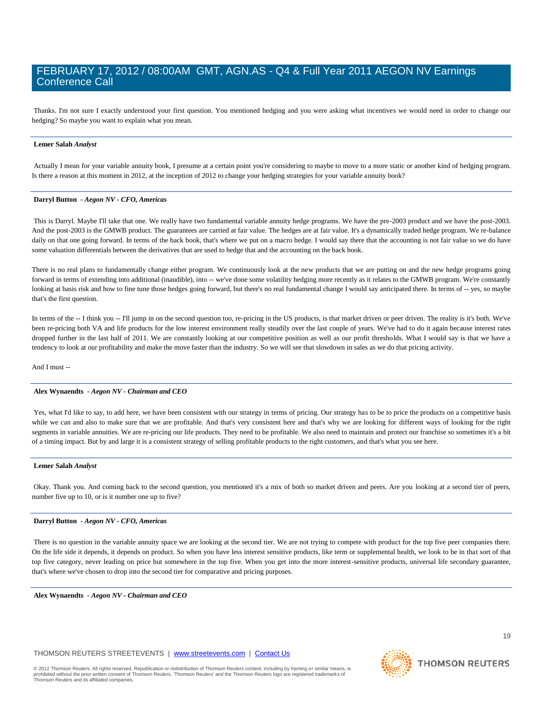Thanks. I'm not sure I exactly understood your first question. You mentioned hedging and you were asking what incentives we would need in order to change our hedging? So maybe you want to explain what you mean.

### **Lemer Salah** *Analyst*

Actually I mean for your variable annuity book, I presume at a certain point you're considering to maybe to move to a more static or another kind of hedging program. Is there a reason at this moment in 2012, at the inception of 2012 to change your hedging strategies for your variable annuity book?

### **Darryl Button** *- Aegon NV - CFO, Americas*

This is Darryl. Maybe I'll take that one. We really have two fundamental variable annuity hedge programs. We have the pre-2003 product and we have the post-2003. And the post-2003 is the GMWB product. The guarantees are carried at fair value. The hedges are at fair value. It's a dynamically traded hedge program. We re-balance daily on that one going forward. In terms of the back book, that's where we put on a macro hedge. I would say there that the accounting is not fair value so we do have some valuation differentials between the derivatives that are used to hedge that and the accounting on the back book.

There is no real plans to fundamentally change either program. We continuously look at the new products that we are putting on and the new hedge programs going forward in terms of extending into additional (inaudible), into -- we've done some volatility hedging more recently as it relates to the GMWB program. We're constantly looking at basis risk and how to fine tune those hedges going forward, but there's no real fundamental change I would say anticipated there. In terms of -- yes, so maybe that's the first question.

In terms of the -- I think you -- I'll jump in on the second question too, re-pricing in the US products, is that market driven or peer driven. The reality is it's both. We've been re-pricing both VA and life products for the low interest environment really steadily over the last couple of years. We've had to do it again because interest rates dropped further in the last half of 2011. We are constantly looking at our competitive position as well as our profit thresholds. What I would say is that we have a tendency to look at our profitability and make the move faster than the industry. So we will see that slowdown in sales as we do that pricing activity.

And I must --

### **Alex Wynaendts** *- Aegon NV - Chairman and CEO*

Yes, what I'd like to say, to add here, we have been consistent with our strategy in terms of pricing. Our strategy has to be to price the products on a competitive basis while we can and also to make sure that we are profitable. And that's very consistent here and that's why we are looking for different ways of looking for the right segments in variable annuities. We are re-pricing our life products. They need to be profitable. We also need to maintain and protect our franchise so sometimes it's a bit of a timing impact. But by and large it is a consistent strategy of selling profitable products to the right customers, and that's what you see here.

#### **Lemer Salah** *Analyst*

Okay. Thank you. And coming back to the second question, you mentioned it's a mix of both so market driven and peers. Are you looking at a second tier of peers, number five up to 10, or is it number one up to five?

### **Darryl Button** *- Aegon NV - CFO, Americas*

There is no question in the variable annuity space we are looking at the second tier. We are not trying to compete with product for the top five peer companies there. On the life side it depends, it depends on product. So when you have less interest sensitive products, like term or supplemental health, we look to be in that sort of that top five category, never leading on price but somewhere in the top five. When you get into the more interest-sensitive products, universal life secondary guarantee, that's where we've chosen to drop into the second tier for comparative and pricing purposes.

**Alex Wynaendts** *- Aegon NV - Chairman and CEO*